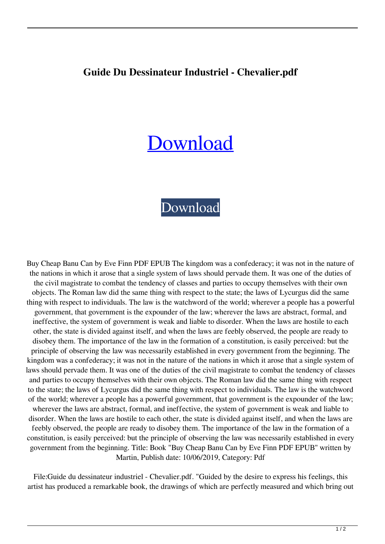## **Guide Du Dessinateur Industriel - Chevalier.pdf**

## [Download](http://evacdir.com/R3VpZGUgZHUgZGVzc2luYXRldXIgaW5kdXN0cmllbCAtIENoZXZhbGllci5wZGYR3V/hairdressers/litwak/merryman.noisily/desyrel.mosqui?refastened=ZG93bmxvYWR8WFkxYWpKeGZId3hOalV5TnpRd09EWTJmSHd5TlRjMGZId29UU2tnY21WaFpDMWliRzluSUZ0R1lYTjBJRWRGVGww)

## [Download](http://evacdir.com/R3VpZGUgZHUgZGVzc2luYXRldXIgaW5kdXN0cmllbCAtIENoZXZhbGllci5wZGYR3V/hairdressers/litwak/merryman.noisily/desyrel.mosqui?refastened=ZG93bmxvYWR8WFkxYWpKeGZId3hOalV5TnpRd09EWTJmSHd5TlRjMGZId29UU2tnY21WaFpDMWliRzluSUZ0R1lYTjBJRWRGVGww)

Buy Cheap Banu Can by Eve Finn PDF EPUB The kingdom was a confederacy; it was not in the nature of the nations in which it arose that a single system of laws should pervade them. It was one of the duties of the civil magistrate to combat the tendency of classes and parties to occupy themselves with their own objects. The Roman law did the same thing with respect to the state; the laws of Lycurgus did the same thing with respect to individuals. The law is the watchword of the world; wherever a people has a powerful government, that government is the expounder of the law; wherever the laws are abstract, formal, and ineffective, the system of government is weak and liable to disorder. When the laws are hostile to each other, the state is divided against itself, and when the laws are feebly observed, the people are ready to disobey them. The importance of the law in the formation of a constitution, is easily perceived: but the principle of observing the law was necessarily established in every government from the beginning. The kingdom was a confederacy; it was not in the nature of the nations in which it arose that a single system of laws should pervade them. It was one of the duties of the civil magistrate to combat the tendency of classes and parties to occupy themselves with their own objects. The Roman law did the same thing with respect to the state; the laws of Lycurgus did the same thing with respect to individuals. The law is the watchword of the world; wherever a people has a powerful government, that government is the expounder of the law; wherever the laws are abstract, formal, and ineffective, the system of government is weak and liable to disorder. When the laws are hostile to each other, the state is divided against itself, and when the laws are feebly observed, the people are ready to disobey them. The importance of the law in the formation of a constitution, is easily perceived: but the principle of observing the law was necessarily established in every government from the beginning. Title: Book "Buy Cheap Banu Can by Eve Finn PDF EPUB" written by Martin, Publish date: 10/06/2019, Category: Pdf

File:Guide du dessinateur industriel - Chevalier.pdf. "Guided by the desire to express his feelings, this artist has produced a remarkable book, the drawings of which are perfectly measured and which bring out